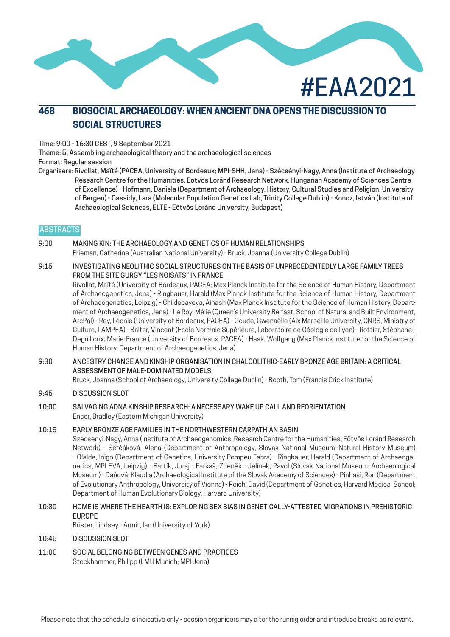

# **468 BIOSOCIAL ARCHAEOLOGY: WHEN ANCIENT DNA OPENS THE DISCUSSION TO SOCIAL STRUCTURES**

Time: 9:00 - 16:30 CEST, 9 September 2021

Theme: 5. Assembling archaeological theory and the archaeological sciences

Format: Regular session

Organisers: Rivollat, Maïté (PACEA, University of Bordeaux; MPI-SHH, Jena) - Szécsényi-Nagy, Anna (Institute of Archaeology Research Centre for the Humanities, Eötvös Loránd Research Network, Hungarian Academy of Sciences Centre of Excellence) - Hofmann, Daniela (Department of Archaeology, History, Cultural Studies and Religion, University of Bergen) - Cassidy, Lara (Molecular Population Genetics Lab, Trinity College Dublin) - Koncz, István (Institute of Archaeological Sciences, ELTE - Eötvös Loránd University, Budapest)

#### **ABSTRACTS**

#### 9:00 MAKING KIN: THE ARCHAEOLOGY AND GENETICS OF HUMAN RELATIONSHIPS

Frieman, Catherine (Australian National University) - Bruck, Joanna (University College Dublin)

9:15 INVESTIGATING NEOLITHIC SOCIAL STRUCTURES ON THE BASIS OF UNPRECEDENTEDLY LARGE FAMILY TREES FROM THE SITE GURGY "LES NOISATS" IN FRANCE

Rivollat, Maïté (University of Bordeaux, PACEA; Max Planck Institute for the Science of Human History, Department of Archaeogenetics, Jena) - Ringbauer, Harald (Max Planck Institute for the Science of Human History, Department of Archaeogenetics, Leipzig) - Childebayeva, Ainash (Max Planck Institute for the Science of Human History, Department of Archaeogenetics, Jena) - Le Roy, Mélie (Queen's University Belfast, School of Natural and Built Environment, ArcPal) - Rey, Léonie (University of Bordeaux, PACEA) - Goude, Gwenaëlle (Aix Marseille University, CNRS, Ministry of Culture, LAMPEA) - Balter, Vincent (Ecole Normale Supérieure, Laboratoire de Géologie de Lyon) - Rottier, Stéphane - Deguilloux, Marie-France (University of Bordeaux, PACEA) - Haak, Wolfgang (Max Planck Institute for the Science of Human History, Department of Archaeogenetics, Jena)

### 9:30 ANCESTRY CHANGE AND KINSHIP ORGANISATION IN CHALCOLITHIC-EARLY BRONZE AGE BRITAIN: A CRITICAL ASSESSMENT OF MALE-DOMINATED MODELS

Bruck, Joanna (School of Archaeology, University College Dublin) - Booth, Tom (Francis Crick Institute)

#### 9:45 DISCUSSION SLOT

#### 10:00 SALVAGING ADNA KINSHIP RESEARCH: A NECESSARY WAKE UP CALL AND REORIENTATION Ensor, Bradley (Eastern Michigan University)

#### 10:15 EARLY BRONZE AGE FAMILIES IN THE NORTHWESTERN CARPATHIAN BASIN

Szecsenyi-Nagy, Anna (Institute of Archaeogenomics, Research Centre for the Humanities, Eötvös Loránd Research Network) - Šefčáková, Alena (Department of Anthropology, Slovak National Museum–Natural History Museum) - Olalde, Inigo (Department of Genetics, University Pompeu Fabra) - Ringbauer, Harald (Department of Archaeogenetics, MPI EVA, Leipzig) - Bartík, Juraj - Farkaš, Zdeněk - Jelínek, Pavol (Slovak National Museum–Archaeological Museum) - Daňová, Klaudia (Archaeological Institute of the Slovak Academy of Sciences) - Pinhasi, Ron (Department of Evolutionary Anthropology, University of Vienna) - Reich, David (Department of Genetics, Harvard Medical School; Department of Human Evolutionary Biology, Harvard University)

#### 10:30 HOME IS WHERE THE HEARTH IS: EXPLORING SEX BIAS IN GENETICALLY-ATTESTED MIGRATIONS IN PREHISTORIC EUROPE

Büster, Lindsey - Armit, Ian (University of York)

#### 10:45 DISCUSSION SLOT

11:00 SOCIAL BELONGING BETWEEN GENES AND PRACTICES Stockhammer, Philipp (LMU Munich; MPI Jena)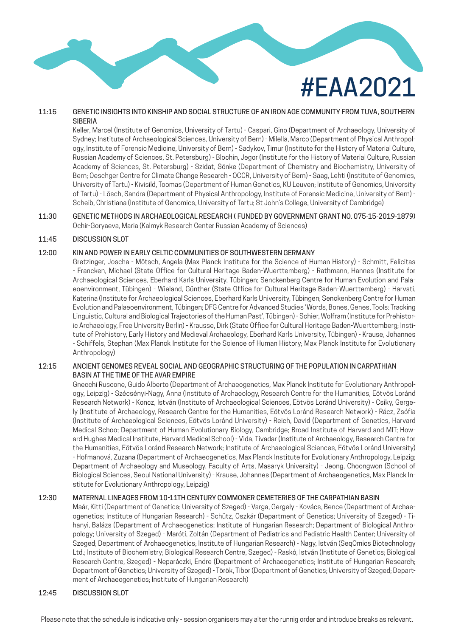# #EAA2021

## 11:15 GENETIC INSIGHTS INTO KINSHIP AND SOCIAL STRUCTURE OF AN IRON AGE COMMUNITY FROM TUVA, SOUTHERN SIBERIA

Keller, Marcel (Institute of Genomics, University of Tartu) - Caspari, Gino (Department of Archaeology, University of Sydney; Institute of Archaeological Sciences, University of Bern) - Milella, Marco (Department of Physical Anthropology, Institute of Forensic Medicine, University of Bern) - Sadykov, Timur (Institute for the History of Material Culture, Russian Academy of Sciences, St. Petersburg) - Blochin, Jegor (Institute for the History of Material Culture, Russian Academy of Sciences, St. Petersburg) - Szidat, Sönke (Department of Chemistry and Biochemistry, University of Bern; Oeschger Centre for Climate Change Research - OCCR, University of Bern) - Saag, Lehti (Institute of Genomics, University of Tartu) - Kivisild, Toomas (Department of Human Genetics, KU Leuven; Institute of Genomics, University of Tartu) - Lösch, Sandra (Department of Physical Anthropology, Institute of Forensic Medicine, University of Bern) - Scheib, Christiana (Institute of Genomics, University of Tartu; St John's College, University of Cambridge)

#### 11:30 GENETIC METHODS IN ARCHAEOLOGICAL RESEARCH ( FUNDED BY GOVERNMENT GRANT NO. 075-15-2019-1879) Ochir-Goryaeva, Maria (Kalmyk Research Center Russian Academy of Sciences)

#### 11:45 DISCUSSION SLOT

#### 12:00 KIN AND POWER IN EARLY CELTIC COMMUNITIES OF SOUTHWESTERN GERMANY

Gretzinger, Joscha - Mötsch, Angela (Max Planck Institute for the Science of Human History) - Schmitt, Felicitas - Francken, Michael (State Office for Cultural Heritage Baden-Wuerttemberg) - Rathmann, Hannes (Institute for Archaeological Sciences, Eberhard Karls University, Tübingen; Senckenberg Centre for Human Evolution and Palaeoenvironment, Tübingen) - Wieland, Günther (State Office for Cultural Heritage Baden-Wuerttemberg) - Harvati, Katerina (Institute for Archaeological Sciences, Eberhard Karls University, Tübingen; Senckenberg Centre for Human Evolution and Palaeoenvironment, Tübingen; DFG Centre for Advanced Studies 'Words, Bones, Genes, Tools: Tracking Linguistic, Cultural and Biological Trajectories of the Human Past', Tübingen) - Schier, Wolfram (Institute for Prehistoric Archaeology, Free University Berlin) - Krausse, Dirk (State Office for Cultural Heritage Baden-Wuerttemberg; Institute of Prehistory, Early History and Medieval Archaeology, Eberhard Karls University, Tübingen) - Krause, Johannes - Schiffels, Stephan (Max Planck Institute for the Science of Human History; Max Planck Institute for Evolutionary Anthropology)

#### 12:15 ANCIENT GENOMES REVEAL SOCIAL AND GEOGRAPHIC STRUCTURING OF THE POPULATION IN CARPATHIAN BASIN AT THE TIME OF THE AVAR EMPIRE

Gnecchi Ruscone, Guido Alberto (Department of Archaeogenetics, Max Planck Institute for Evolutionary Anthropology, Leipzig) - Szécsényi-Nagy, Anna (Institute of Archaeology, Research Centre for the Humanities, Eötvös Loránd Research Network) - Koncz, István (Institute of Archaeological Sciences, Eötvös Loránd University) - Csiky, Gergely (Institute of Archaeology, Research Centre for the Humanities, Eötvös Loránd Research Network) - Rácz, Zsófia (Institute of Archaeological Sciences, Eötvös Loránd University) - Reich, David (Department of Genetics, Harvard Medical Schoo; Department of Human Evolutionary Biology, Cambridge; Broad Institute of Harvard and MIT; Howard Hughes Medical Institute, Harvard Medical School) - Vida, Tivadar (Institute of Archaeology, Research Centre for the Humanities, Eötvös Loránd Research Network; Institute of Archaeological Sciences, Eötvös Loránd University) - Hofmanová, Zuzana (Department of Archaeogenetics, Max Planck Institute for Evolutionary Anthropology, Leipzig; Department of Archaeology and Museology, Faculty of Arts, Masaryk University) - Jeong, Choongwon (School of Biological Sciences, Seoul National University) - Krause, Johannes (Department of Archaeogenetics, Max Planck Institute for Evolutionary Anthropology, Leipzig)

#### 12:30 MATERNAL LINEAGES FROM 10-11TH CENTURY COMMONER CEMETERIES OF THE CARPATHIAN BASIN

Maár, Kitti (Department of Genetics; University of Szeged) - Varga, Gergely - Kovács, Bence (Department of Archaeogenetics; Institute of Hungarian Research) - Schütz, Oszkár (Department of Genetics; University of Szeged) - Tihanyi, Balázs (Department of Archaeogenetics; Institute of Hungarian Research; Department of Biological Anthropology; University of Szeged) - Maróti, Zoltán (Department of Pediatrics and Pediatric Health Center; University of Szeged; Department of Archaeogenetics; Institute of Hungarian Research) - Nagy, István (SeqOmics Biotechnology Ltd.; Institute of Biochemistry; Biological Research Centre, Szeged) - Raskó, István (Institute of Genetics; Biological Research Centre, Szeged) - Neparáczki, Endre (Department of Archaeogenetics; Institute of Hungarian Research; Department of Genetics; University of Szeged) - Török, Tibor (Department of Genetics; University of Szeged; Department of Archaeogenetics; Institute of Hungarian Research)

#### 12:45 DISCUSSION SLOT

Please note that the schedule is indicative only - session organisers may alter the runnig order and introduce breaks as relevant.